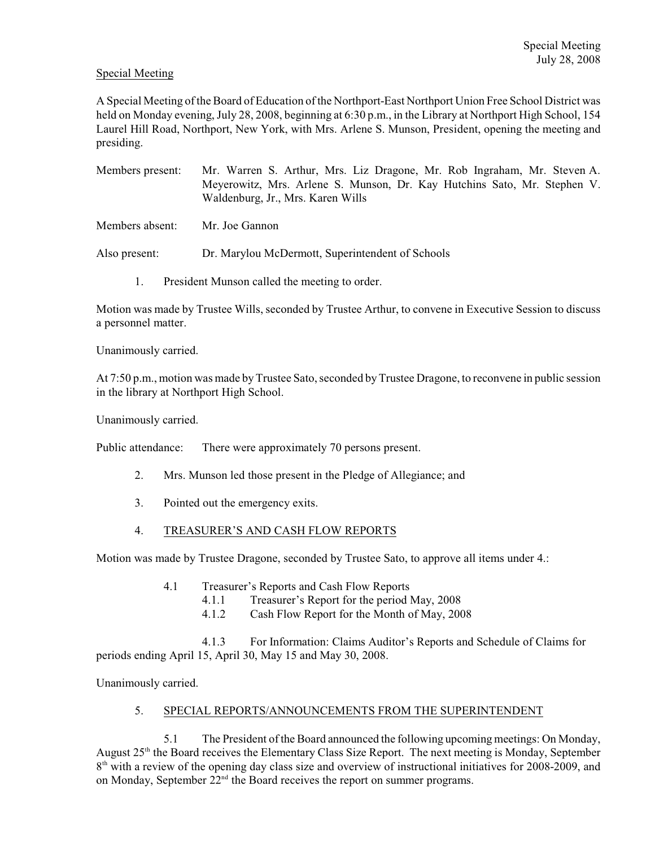# Special Meeting

A Special Meeting of the Board of Education of the Northport-East Northport Union Free School District was held on Monday evening, July 28, 2008, beginning at 6:30 p.m., in the Library at Northport High School, 154 Laurel Hill Road, Northport, New York, with Mrs. Arlene S. Munson, President, opening the meeting and presiding.

Members present: Mr. Warren S. Arthur, Mrs. Liz Dragone, Mr. Rob Ingraham, Mr. Steven A. Meyerowitz, Mrs. Arlene S. Munson, Dr. Kay Hutchins Sato, Mr. Stephen V. Waldenburg, Jr., Mrs. Karen Wills

Members absent: Mr. Joe Gannon

Also present: Dr. Marylou McDermott, Superintendent of Schools

1. President Munson called the meeting to order.

Motion was made by Trustee Wills, seconded by Trustee Arthur, to convene in Executive Session to discuss a personnel matter.

Unanimously carried.

At 7:50 p.m., motion was made by Trustee Sato, seconded by Trustee Dragone, to reconvene in public session in the library at Northport High School.

Unanimously carried.

Public attendance: There were approximately 70 persons present.

- 2. Mrs. Munson led those present in the Pledge of Allegiance; and
- 3. Pointed out the emergency exits.
- 4. TREASURER'S AND CASH FLOW REPORTS

Motion was made by Trustee Dragone, seconded by Trustee Sato, to approve all items under 4.:

- 4.1 Treasurer's Reports and Cash Flow Reports
	- 4.1.1 Treasurer's Report for the period May, 2008
	- 4.1.2 Cash Flow Report for the Month of May, 2008

4.1.3 For Information: Claims Auditor's Reports and Schedule of Claims for periods ending April 15, April 30, May 15 and May 30, 2008.

Unanimously carried.

#### 5. SPECIAL REPORTS/ANNOUNCEMENTS FROM THE SUPERINTENDENT

5.1 The President of the Board announced the following upcoming meetings: On Monday, August 25<sup>th</sup> the Board receives the Elementary Class Size Report. The next meeting is Monday, September  $8<sup>th</sup>$  with a review of the opening day class size and overview of instructional initiatives for 2008-2009, and on Monday, September  $22<sup>nd</sup>$  the Board receives the report on summer programs.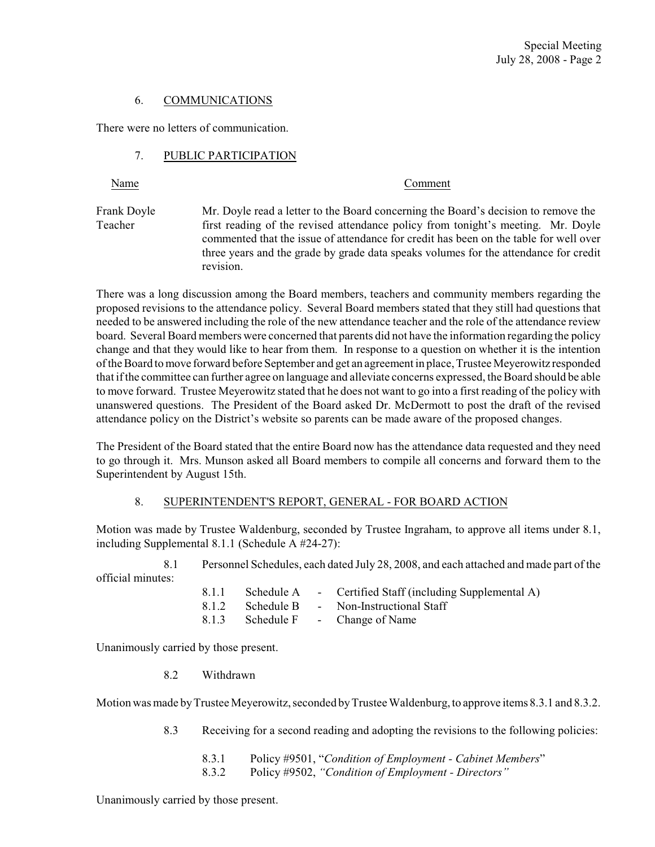#### 6. COMMUNICATIONS

There were no letters of communication.

7. PUBLIC PARTICIPATION

#### Name Comment

Frank Doyle Mr. Doyle read a letter to the Board concerning the Board's decision to remove the Teacher first reading of the revised attendance policy from tonight's meeting. Mr. Doyle commented that the issue of attendance for credit has been on the table for well over three years and the grade by grade data speaks volumes for the attendance for credit revision.

There was a long discussion among the Board members, teachers and community members regarding the proposed revisions to the attendance policy. Several Board members stated that they still had questions that needed to be answered including the role of the new attendance teacher and the role of the attendance review board. Several Board members were concerned that parents did not have the information regarding the policy change and that they would like to hear from them. In response to a question on whether it is the intention of the Board to move forward before September and get an agreement in place, Trustee Meyerowitz responded that if the committee can further agree on language and alleviate concerns expressed, the Board should be able to move forward. Trustee Meyerowitz stated that he does not want to go into a first reading of the policy with unanswered questions. The President of the Board asked Dr. McDermott to post the draft of the revised attendance policy on the District's website so parents can be made aware of the proposed changes.

The President of the Board stated that the entire Board now has the attendance data requested and they need to go through it. Mrs. Munson asked all Board members to compile all concerns and forward them to the Superintendent by August 15th.

# 8. SUPERINTENDENT'S REPORT, GENERAL - FOR BOARD ACTION

Motion was made by Trustee Waldenburg, seconded by Trustee Ingraham, to approve all items under 8.1, including Supplemental 8.1.1 (Schedule A #24-27):

8.1 Personnel Schedules, each dated July 28, 2008, and each attached and made part of the official minutes:

| 8.1.1 |  | Schedule A - Certified Staff (including Supplemental A) |
|-------|--|---------------------------------------------------------|
| 8.1.2 |  | Schedule B - Non-Instructional Staff                    |
| 8.1.3 |  | Schedule F - Change of Name                             |

Unanimously carried by those present.

8.2 Withdrawn

Motion was made byTrustee Meyerowitz, seconded byTrustee Waldenburg, to approve items 8.3.1 and 8.3.2.

- 8.3 Receiving for a second reading and adopting the revisions to the following policies:
	- 8.3.1 Policy #9501, "*Condition of Employment Cabinet Members*" 8.3.2 Policy #9502, *"Condition of Employment - Directors"*

Unanimously carried by those present.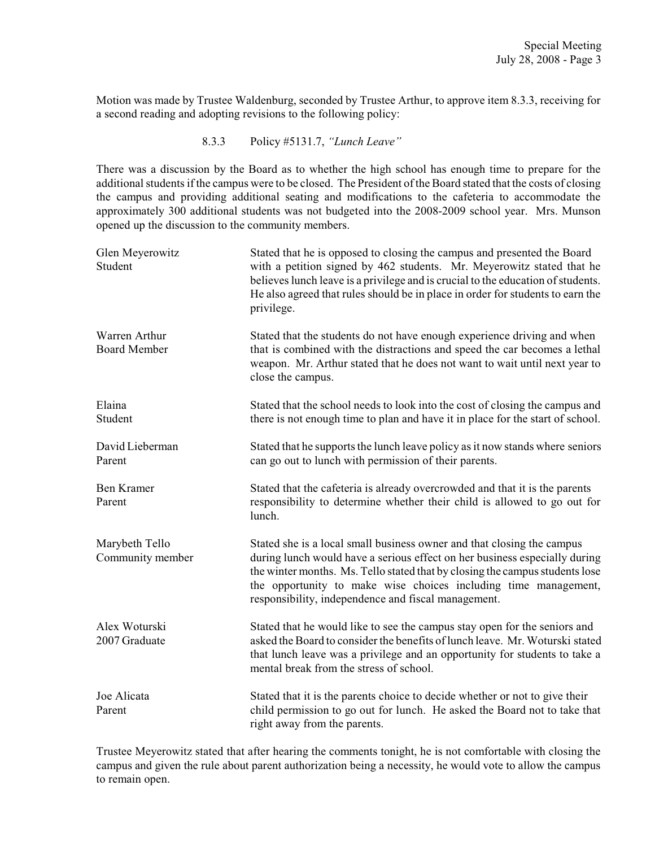Motion was made by Trustee Waldenburg, seconded by Trustee Arthur, to approve item 8.3.3, receiving for a second reading and adopting revisions to the following policy:

# 8.3.3 Policy #5131.7, *"Lunch Leave"*

There was a discussion by the Board as to whether the high school has enough time to prepare for the additional students if the campus were to be closed. The President of the Board stated that the costs of closing the campus and providing additional seating and modifications to the cafeteria to accommodate the approximately 300 additional students was not budgeted into the 2008-2009 school year. Mrs. Munson opened up the discussion to the community members.

| Glen Meyerowitz<br>Student           | Stated that he is opposed to closing the campus and presented the Board<br>with a petition signed by 462 students. Mr. Meyerowitz stated that he<br>believes lunch leave is a privilege and is crucial to the education of students.<br>He also agreed that rules should be in place in order for students to earn the<br>privilege.                           |
|--------------------------------------|----------------------------------------------------------------------------------------------------------------------------------------------------------------------------------------------------------------------------------------------------------------------------------------------------------------------------------------------------------------|
| Warren Arthur<br><b>Board Member</b> | Stated that the students do not have enough experience driving and when<br>that is combined with the distractions and speed the car becomes a lethal<br>weapon. Mr. Arthur stated that he does not want to wait until next year to<br>close the campus.                                                                                                        |
| Elaina<br>Student                    | Stated that the school needs to look into the cost of closing the campus and<br>there is not enough time to plan and have it in place for the start of school.                                                                                                                                                                                                 |
| David Lieberman<br>Parent            | Stated that he supports the lunch leave policy as it now stands where seniors<br>can go out to lunch with permission of their parents.                                                                                                                                                                                                                         |
| <b>Ben Kramer</b><br>Parent          | Stated that the cafeteria is already overcrowded and that it is the parents<br>responsibility to determine whether their child is allowed to go out for<br>lunch.                                                                                                                                                                                              |
| Marybeth Tello<br>Community member   | Stated she is a local small business owner and that closing the campus<br>during lunch would have a serious effect on her business especially during<br>the winter months. Ms. Tello stated that by closing the campus students lose<br>the opportunity to make wise choices including time management,<br>responsibility, independence and fiscal management. |
| Alex Woturski<br>2007 Graduate       | Stated that he would like to see the campus stay open for the seniors and<br>asked the Board to consider the benefits of lunch leave. Mr. Woturski stated<br>that lunch leave was a privilege and an opportunity for students to take a<br>mental break from the stress of school.                                                                             |
| Joe Alicata<br>Parent                | Stated that it is the parents choice to decide whether or not to give their<br>child permission to go out for lunch. He asked the Board not to take that<br>right away from the parents.                                                                                                                                                                       |

Trustee Meyerowitz stated that after hearing the comments tonight, he is not comfortable with closing the campus and given the rule about parent authorization being a necessity, he would vote to allow the campus to remain open.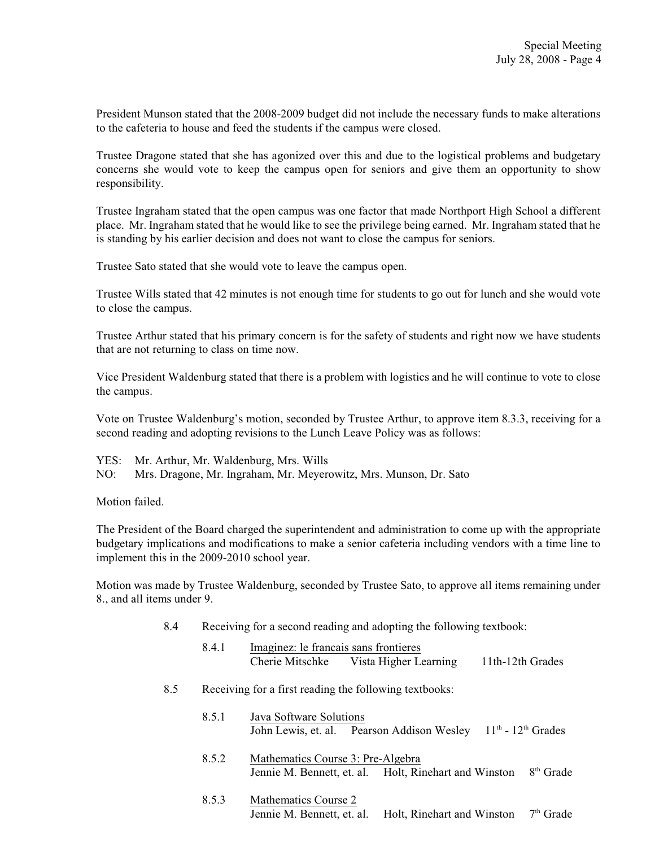President Munson stated that the 2008-2009 budget did not include the necessary funds to make alterations to the cafeteria to house and feed the students if the campus were closed.

Trustee Dragone stated that she has agonized over this and due to the logistical problems and budgetary concerns she would vote to keep the campus open for seniors and give them an opportunity to show responsibility.

Trustee Ingraham stated that the open campus was one factor that made Northport High School a different place. Mr. Ingraham stated that he would like to see the privilege being earned. Mr. Ingraham stated that he is standing by his earlier decision and does not want to close the campus for seniors.

Trustee Sato stated that she would vote to leave the campus open.

Trustee Wills stated that 42 minutes is not enough time for students to go out for lunch and she would vote to close the campus.

Trustee Arthur stated that his primary concern is for the safety of students and right now we have students that are not returning to class on time now.

Vice President Waldenburg stated that there is a problem with logistics and he will continue to vote to close the campus.

Vote on Trustee Waldenburg's motion, seconded by Trustee Arthur, to approve item 8.3.3, receiving for a second reading and adopting revisions to the Lunch Leave Policy was as follows:

- YES: Mr. Arthur, Mr. Waldenburg, Mrs. Wills
- NO: Mrs. Dragone, Mr. Ingraham, Mr. Meyerowitz, Mrs. Munson, Dr. Sato

Motion failed.

The President of the Board charged the superintendent and administration to come up with the appropriate budgetary implications and modifications to make a senior cafeteria including vendors with a time line to implement this in the 2009-2010 school year.

Motion was made by Trustee Waldenburg, seconded by Trustee Sato, to approve all items remaining under 8., and all items under 9.

8.4 Receiving for a second reading and adopting the following textbook:

| 8.4.1 | Imaginez: le français sans frontieres |                       |                  |  |  |
|-------|---------------------------------------|-----------------------|------------------|--|--|
|       | Cherie Mitschke                       | Vista Higher Learning | 11th-12th Grades |  |  |

- 8.5 Receiving for a first reading the following textbooks:
	- 8.5.1 Java Software Solutions John Lewis, et. al. Pearson Addison Wesley 11<sup>th</sup> - 12<sup>th</sup> Grades
	- 8.5.2 Mathematics Course 3: Pre-Algebra Jennie M. Bennett, et. al. Holt, Rinehart and Winston 8<sup>th</sup> Grade
	- 8.5.3 Mathematics Course 2 Jennie M. Bennett, et. al. Holt, Rinehart and Winston  $7<sup>th</sup>$  Grade